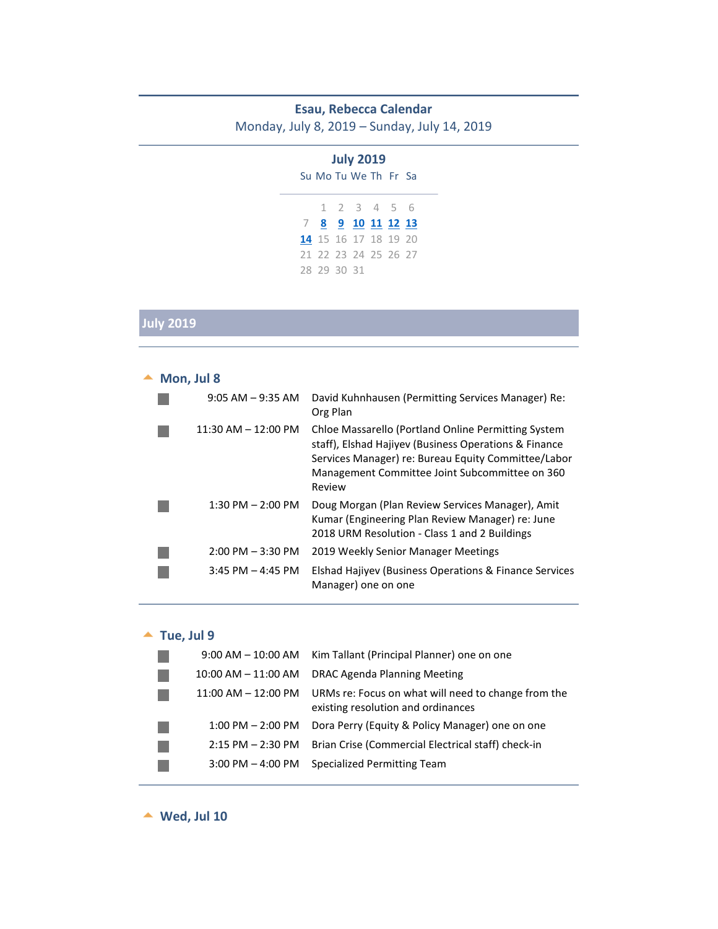#### **Esau, Rebecca Calendar**

Monday, July 8, 2019 – Sunday, July 14, 2019

|                      | <b>July 2019</b>        |  |  |
|----------------------|-------------------------|--|--|
|                      | Su Mo Tu We The Free Sa |  |  |
|                      | 1 2 3 4 5 6             |  |  |
|                      | 7 8 9 10 11 12 13       |  |  |
|                      | 14 15 16 17 18 19 20    |  |  |
|                      |                         |  |  |
| 21 22 23 24 25 26 27 |                         |  |  |

# **July 2019**

<span id="page-0-0"></span>

| Mon, Jul 8 |                         |                                                                                                                                                                                                                                 |
|------------|-------------------------|---------------------------------------------------------------------------------------------------------------------------------------------------------------------------------------------------------------------------------|
|            | $9:05$ AM $-9:35$ AM    | David Kuhnhausen (Permitting Services Manager) Re:<br>Org Plan                                                                                                                                                                  |
|            | $11:30$ AM $- 12:00$ PM | Chloe Massarello (Portland Online Permitting System<br>staff), Elshad Hajiyev (Business Operations & Finance<br>Services Manager) re: Bureau Equity Committee/Labor<br>Management Committee Joint Subcommittee on 360<br>Review |
|            | $1:30$ PM $- 2:00$ PM   | Doug Morgan (Plan Review Services Manager), Amit<br>Kumar (Engineering Plan Review Manager) re: June<br>2018 URM Resolution - Class 1 and 2 Buildings                                                                           |
|            | $2:00$ PM $-3:30$ PM    | 2019 Weekly Senior Manager Meetings                                                                                                                                                                                             |
|            | $3:45$ PM $-$ 4:45 PM   | Elshad Hajiyev (Business Operations & Finance Services<br>Manager) one on one                                                                                                                                                   |

### $\blacktriangle$  Tue, Jul 9

<span id="page-0-1"></span>

| $9:00$ AM $-$ 10:00 AM  | Kim Tallant (Principal Planner) one on one                                                |
|-------------------------|-------------------------------------------------------------------------------------------|
| $10:00$ AM $- 11:00$ AM | DRAC Agenda Planning Meeting                                                              |
| $11:00$ AM $-12:00$ PM  | URMs re: Focus on what will need to change from the<br>existing resolution and ordinances |
| $1:00$ PM $- 2:00$ PM   | Dora Perry (Equity & Policy Manager) one on one                                           |
| $2:15$ PM $- 2:30$ PM   | Brian Crise (Commercial Electrical staff) check-in                                        |
| $3:00$ PM $-$ 4:00 PM   | Specialized Permitting Team                                                               |
|                         |                                                                                           |

<span id="page-0-2"></span>**Wed, Jul 10**